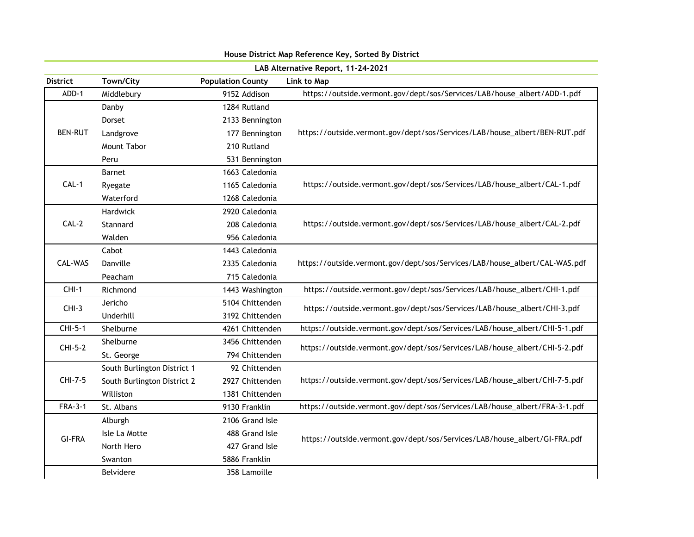| LAB Alternative Report, 11-24-2021 |                             |                          |                                                                            |  |
|------------------------------------|-----------------------------|--------------------------|----------------------------------------------------------------------------|--|
| <b>District</b>                    | Town/City                   | <b>Population County</b> | Link to Map                                                                |  |
| ADD-1                              | 9152 Addison<br>Middlebury  |                          | https://outside.vermont.gov/dept/sos/Services/LAB/house_albert/ADD-1.pdf   |  |
|                                    | Danby                       | 1284 Rutland             |                                                                            |  |
|                                    | Dorset                      | 2133 Bennington          |                                                                            |  |
| <b>BEN-RUT</b>                     | Landgrove                   | 177 Bennington           | https://outside.vermont.gov/dept/sos/Services/LAB/house_albert/BEN-RUT.pdf |  |
|                                    | Mount Tabor                 | 210 Rutland              |                                                                            |  |
|                                    | Peru                        | 531 Bennington           |                                                                            |  |
|                                    | Barnet                      | 1663 Caledonia           |                                                                            |  |
| $CAL-1$                            | Ryegate                     | 1165 Caledonia           | https://outside.vermont.gov/dept/sos/Services/LAB/house_albert/CAL-1.pdf   |  |
|                                    | Waterford                   | 1268 Caledonia           |                                                                            |  |
|                                    | Hardwick                    | 2920 Caledonia           |                                                                            |  |
| $CAL-2$                            | Stannard                    | 208 Caledonia            | https://outside.vermont.gov/dept/sos/Services/LAB/house_albert/CAL-2.pdf   |  |
|                                    | Walden                      | 956 Caledonia            |                                                                            |  |
|                                    | Cabot                       | 1443 Caledonia           |                                                                            |  |
| CAL-WAS                            | Danville                    | 2335 Caledonia           | https://outside.vermont.gov/dept/sos/Services/LAB/house_albert/CAL-WAS.pdf |  |
|                                    | Peacham                     | 715 Caledonia            |                                                                            |  |
| $CHI-1$                            | Richmond<br>1443 Washington |                          | https://outside.vermont.gov/dept/sos/Services/LAB/house_albert/CHI-1.pdf   |  |
| $CHI-3$                            | Jericho                     | 5104 Chittenden          | https://outside.vermont.gov/dept/sos/Services/LAB/house_albert/CHI-3.pdf   |  |
|                                    | Underhill                   | 3192 Chittenden          |                                                                            |  |
| CHI-5-1                            | Shelburne                   | 4261 Chittenden          | https://outside.vermont.gov/dept/sos/Services/LAB/house_albert/CHI-5-1.pdf |  |
| CHI-5-2                            | Shelburne                   | 3456 Chittenden          | https://outside.vermont.gov/dept/sos/Services/LAB/house_albert/CHI-5-2.pdf |  |
|                                    | St. George                  | 794 Chittenden           |                                                                            |  |
|                                    | South Burlington District 1 | 92 Chittenden            |                                                                            |  |
| CHI-7-5                            | South Burlington District 2 | 2927 Chittenden          | https://outside.vermont.gov/dept/sos/Services/LAB/house_albert/CHI-7-5.pdf |  |
|                                    | Williston                   | 1381 Chittenden          |                                                                            |  |
| <b>FRA-3-1</b>                     | St. Albans                  | 9130 Franklin            | https://outside.vermont.gov/dept/sos/Services/LAB/house_albert/FRA-3-1.pdf |  |
|                                    | Alburgh                     | 2106 Grand Isle          |                                                                            |  |
| <b>GI-FRA</b>                      | Isle La Motte               | 488 Grand Isle           | https://outside.vermont.gov/dept/sos/Services/LAB/house_albert/GI-FRA.pdf  |  |
|                                    | North Hero                  | 427 Grand Isle           |                                                                            |  |
|                                    | Swanton                     | 5886 Franklin            |                                                                            |  |
|                                    | Belvidere                   | 358 Lamoille             |                                                                            |  |
|                                    |                             |                          |                                                                            |  |

## House District Map Reference Key, Sorted By District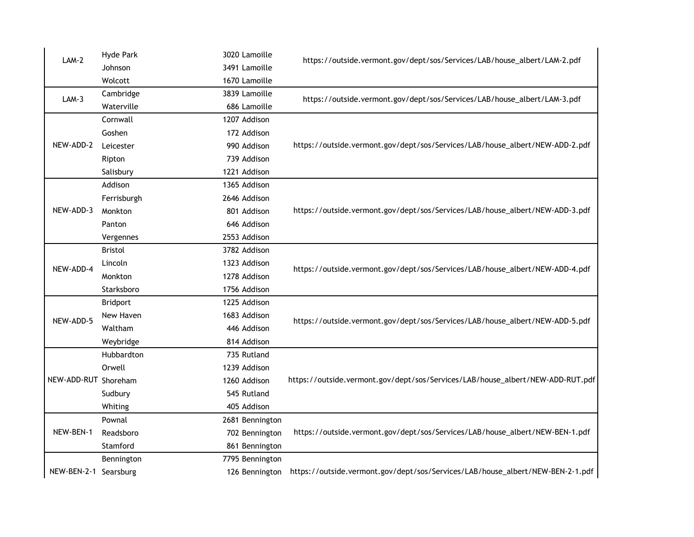| $LAM-2$               | Hyde Park       | 3020 Lamoille   | https://outside.vermont.gov/dept/sos/Services/LAB/house_albert/LAM-2.pdf       |  |
|-----------------------|-----------------|-----------------|--------------------------------------------------------------------------------|--|
|                       | Johnson         | 3491 Lamoille   |                                                                                |  |
|                       | Wolcott         | 1670 Lamoille   |                                                                                |  |
| $LAM-3$               | Cambridge       | 3839 Lamoille   | https://outside.vermont.gov/dept/sos/Services/LAB/house_albert/LAM-3.pdf       |  |
|                       | Waterville      | 686 Lamoille    |                                                                                |  |
|                       | Cornwall        | 1207 Addison    |                                                                                |  |
|                       | Goshen          | 172 Addison     | https://outside.vermont.gov/dept/sos/Services/LAB/house_albert/NEW-ADD-2.pdf   |  |
| NEW-ADD-2             | Leicester       | 990 Addison     |                                                                                |  |
|                       | Ripton          | 739 Addison     |                                                                                |  |
|                       | Salisbury       | 1221 Addison    |                                                                                |  |
|                       | Addison         | 1365 Addison    |                                                                                |  |
|                       | Ferrisburgh     | 2646 Addison    |                                                                                |  |
| NEW-ADD-3             | Monkton         | 801 Addison     | https://outside.vermont.gov/dept/sos/Services/LAB/house_albert/NEW-ADD-3.pdf   |  |
|                       | Panton          | 646 Addison     |                                                                                |  |
|                       | Vergennes       | 2553 Addison    |                                                                                |  |
|                       | <b>Bristol</b>  | 3782 Addison    |                                                                                |  |
| NEW-ADD-4             | Lincoln         | 1323 Addison    | https://outside.vermont.gov/dept/sos/Services/LAB/house_albert/NEW-ADD-4.pdf   |  |
|                       | Monkton         | 1278 Addison    |                                                                                |  |
|                       | Starksboro      | 1756 Addison    |                                                                                |  |
|                       | <b>Bridport</b> | 1225 Addison    |                                                                                |  |
| NEW-ADD-5             | New Haven       | 1683 Addison    | https://outside.vermont.gov/dept/sos/Services/LAB/house_albert/NEW-ADD-5.pdf   |  |
|                       | Waltham         | 446 Addison     |                                                                                |  |
|                       | Weybridge       | 814 Addison     |                                                                                |  |
|                       | Hubbardton      | 735 Rutland     |                                                                                |  |
|                       | Orwell          | 1239 Addison    |                                                                                |  |
| NEW-ADD-RUT Shoreham  |                 | 1260 Addison    | https://outside.vermont.gov/dept/sos/Services/LAB/house_albert/NEW-ADD-RUT.pdf |  |
|                       | Sudbury         | 545 Rutland     |                                                                                |  |
|                       | Whiting         | 405 Addison     |                                                                                |  |
|                       | Pownal          | 2681 Bennington |                                                                                |  |
| NEW-BEN-1             | Readsboro       | 702 Bennington  | https://outside.vermont.gov/dept/sos/Services/LAB/house_albert/NEW-BEN-1.pdf   |  |
|                       | Stamford        | 861 Bennington  |                                                                                |  |
|                       | Bennington      | 7795 Bennington |                                                                                |  |
| NEW-BEN-2-1 Searsburg |                 | 126 Bennington  | https://outside.vermont.gov/dept/sos/Services/LAB/house_albert/NEW-BEN-2-1.pdf |  |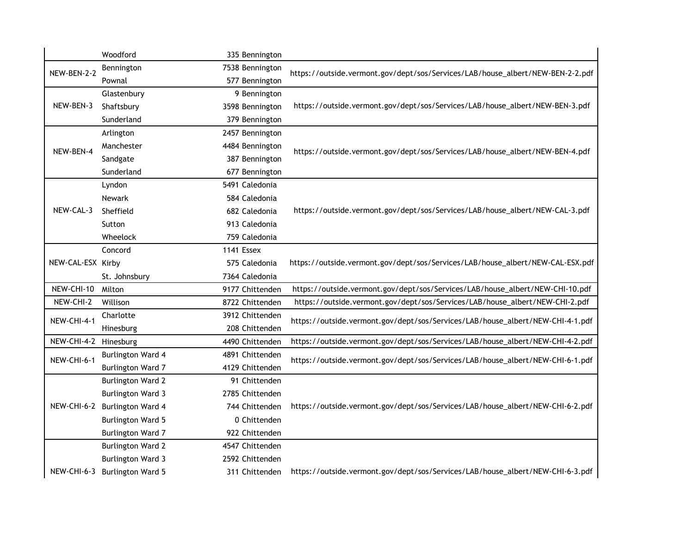|                       | Woodford                 | 335 Bennington  |                                                                                |
|-----------------------|--------------------------|-----------------|--------------------------------------------------------------------------------|
| NEW-BEN-2-2           | Bennington               | 7538 Bennington | https://outside.vermont.gov/dept/sos/Services/LAB/house_albert/NEW-BEN-2-2.pdf |
|                       | Pownal                   | 577 Bennington  |                                                                                |
|                       | Glastenbury              | 9 Bennington    |                                                                                |
| NEW-BEN-3             | Shaftsbury               | 3598 Bennington | https://outside.vermont.gov/dept/sos/Services/LAB/house_albert/NEW-BEN-3.pdf   |
|                       | Sunderland               | 379 Bennington  |                                                                                |
|                       | Arlington                | 2457 Bennington |                                                                                |
| NEW-BEN-4             | Manchester               | 4484 Bennington | https://outside.vermont.gov/dept/sos/Services/LAB/house_albert/NEW-BEN-4.pdf   |
|                       | Sandgate                 | 387 Bennington  |                                                                                |
|                       | Sunderland               | 677 Bennington  |                                                                                |
|                       | Lyndon                   | 5491 Caledonia  |                                                                                |
|                       | Newark                   | 584 Caledonia   |                                                                                |
| NEW-CAL-3             | Sheffield                | 682 Caledonia   | https://outside.vermont.gov/dept/sos/Services/LAB/house_albert/NEW-CAL-3.pdf   |
|                       | Sutton                   | 913 Caledonia   |                                                                                |
|                       | Wheelock                 | 759 Caledonia   |                                                                                |
|                       | Concord                  | 1141 Essex      |                                                                                |
| NEW-CAL-ESX Kirby     |                          | 575 Caledonia   | https://outside.vermont.gov/dept/sos/Services/LAB/house_albert/NEW-CAL-ESX.pdf |
|                       | St. Johnsbury            | 7364 Caledonia  |                                                                                |
| NEW-CHI-10            | Milton                   | 9177 Chittenden | https://outside.vermont.gov/dept/sos/Services/LAB/house_albert/NEW-CHI-10.pdf  |
| NEW-CHI-2             | Willison                 | 8722 Chittenden | https://outside.vermont.gov/dept/sos/Services/LAB/house_albert/NEW-CHI-2.pdf   |
| NEW-CHI-4-1           | Charlotte                | 3912 Chittenden | https://outside.vermont.gov/dept/sos/Services/LAB/house_albert/NEW-CHI-4-1.pdf |
|                       | Hinesburg                | 208 Chittenden  |                                                                                |
| NEW-CHI-4-2 Hinesburg |                          | 4490 Chittenden | https://outside.vermont.gov/dept/sos/Services/LAB/house_albert/NEW-CHI-4-2.pdf |
| NEW-CHI-6-1           | <b>Burlington Ward 4</b> | 4891 Chittenden | https://outside.vermont.gov/dept/sos/Services/LAB/house_albert/NEW-CHI-6-1.pdf |
|                       | Burlington Ward 7        | 4129 Chittenden |                                                                                |
|                       | <b>Burlington Ward 2</b> | 91 Chittenden   |                                                                                |
| NEW-CHI-6-2           | <b>Burlington Ward 3</b> | 2785 Chittenden |                                                                                |
|                       | <b>Burlington Ward 4</b> | 744 Chittenden  | https://outside.vermont.gov/dept/sos/Services/LAB/house_albert/NEW-CHI-6-2.pdf |
|                       | <b>Burlington Ward 5</b> | 0 Chittenden    |                                                                                |
|                       | <b>Burlington Ward 7</b> | 922 Chittenden  |                                                                                |
|                       | <b>Burlington Ward 2</b> | 4547 Chittenden |                                                                                |
|                       | <b>Burlington Ward 3</b> | 2592 Chittenden |                                                                                |
| NEW-CHI-6-3           | <b>Burlington Ward 5</b> | 311 Chittenden  | https://outside.vermont.gov/dept/sos/Services/LAB/house_albert/NEW-CHI-6-3.pdf |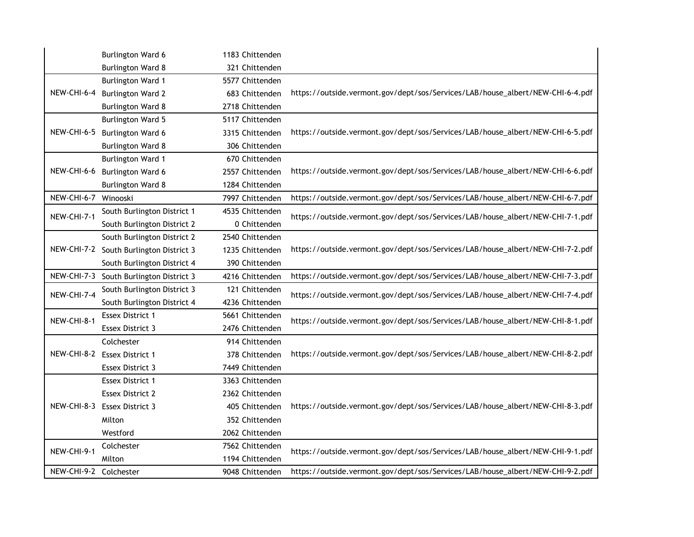|                        | Burlington Ward 6                       | 1183 Chittenden |                                                                                |
|------------------------|-----------------------------------------|-----------------|--------------------------------------------------------------------------------|
|                        | <b>Burlington Ward 8</b>                | 321 Chittenden  |                                                                                |
|                        | <b>Burlington Ward 1</b>                | 5577 Chittenden |                                                                                |
| NEW-CHI-6-4            | <b>Burlington Ward 2</b>                | 683 Chittenden  | https://outside.vermont.gov/dept/sos/Services/LAB/house_albert/NEW-CHI-6-4.pdf |
|                        | <b>Burlington Ward 8</b>                | 2718 Chittenden |                                                                                |
|                        | <b>Burlington Ward 5</b>                | 5117 Chittenden |                                                                                |
| <b>NEW-CHI-6-5</b>     | Burlington Ward 6                       | 3315 Chittenden | https://outside.vermont.gov/dept/sos/Services/LAB/house_albert/NEW-CHI-6-5.pdf |
|                        | <b>Burlington Ward 8</b>                | 306 Chittenden  |                                                                                |
|                        | <b>Burlington Ward 1</b>                | 670 Chittenden  |                                                                                |
| NEW-CHI-6-6            | Burlington Ward 6                       | 2557 Chittenden | https://outside.vermont.gov/dept/sos/Services/LAB/house_albert/NEW-CHI-6-6.pdf |
|                        | <b>Burlington Ward 8</b>                | 1284 Chittenden |                                                                                |
| NEW-CHI-6-7 Winooski   |                                         | 7997 Chittenden | https://outside.vermont.gov/dept/sos/Services/LAB/house_albert/NEW-CHI-6-7.pdf |
| NEW-CHI-7-1            | South Burlington District 1             | 4535 Chittenden | https://outside.vermont.gov/dept/sos/Services/LAB/house_albert/NEW-CHI-7-1.pdf |
|                        | South Burlington District 2             | 0 Chittenden    |                                                                                |
|                        | South Burlington District 2             | 2540 Chittenden |                                                                                |
|                        | NEW-CHI-7-2 South Burlington District 3 | 1235 Chittenden | https://outside.vermont.gov/dept/sos/Services/LAB/house_albert/NEW-CHI-7-2.pdf |
|                        | South Burlington District 4             | 390 Chittenden  |                                                                                |
|                        | NEW-CHI-7-3 South Burlington District 3 | 4216 Chittenden | https://outside.vermont.gov/dept/sos/Services/LAB/house_albert/NEW-CHI-7-3.pdf |
| NEW-CHI-7-4            | South Burlington District 3             | 121 Chittenden  | https://outside.vermont.gov/dept/sos/Services/LAB/house_albert/NEW-CHI-7-4.pdf |
|                        | South Burlington District 4             | 4236 Chittenden |                                                                                |
| NEW-CHI-8-1            | Essex District 1                        | 5661 Chittenden | https://outside.vermont.gov/dept/sos/Services/LAB/house_albert/NEW-CHI-8-1.pdf |
|                        | Essex District 3                        | 2476 Chittenden |                                                                                |
|                        | Colchester                              | 914 Chittenden  |                                                                                |
| NEW-CHI-8-2            | <b>Essex District 1</b>                 | 378 Chittenden  | https://outside.vermont.gov/dept/sos/Services/LAB/house_albert/NEW-CHI-8-2.pdf |
|                        | Essex District 3                        | 7449 Chittenden |                                                                                |
|                        | <b>Essex District 1</b>                 | 3363 Chittenden |                                                                                |
|                        | <b>Essex District 2</b>                 | 2362 Chittenden |                                                                                |
| NEW-CHI-8-3            | <b>Essex District 3</b>                 | 405 Chittenden  | https://outside.vermont.gov/dept/sos/Services/LAB/house_albert/NEW-CHI-8-3.pdf |
|                        | Milton                                  | 352 Chittenden  |                                                                                |
|                        | Westford                                | 2062 Chittenden |                                                                                |
| NEW-CHI-9-1            | Colchester                              | 7562 Chittenden | https://outside.vermont.gov/dept/sos/Services/LAB/house_albert/NEW-CHI-9-1.pdf |
|                        | Milton                                  | 1194 Chittenden |                                                                                |
| NEW-CHI-9-2 Colchester |                                         | 9048 Chittenden | https://outside.vermont.gov/dept/sos/Services/LAB/house_albert/NEW-CHI-9-2.pdf |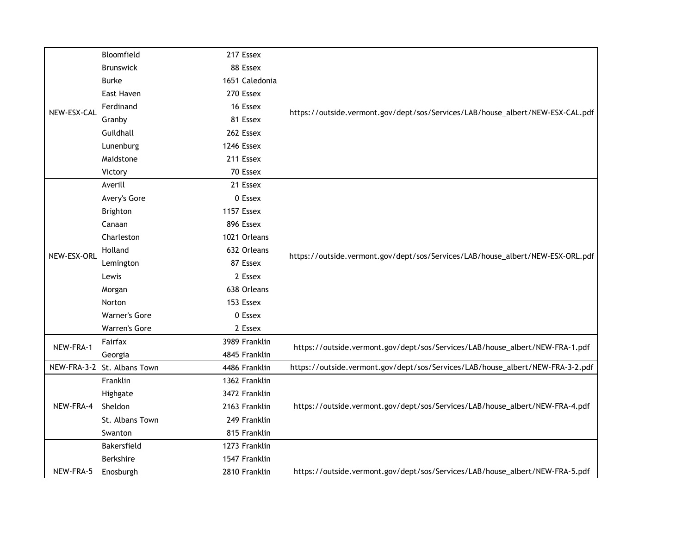|             | Bloomfield                  | 217 Essex      |                                                                                |
|-------------|-----------------------------|----------------|--------------------------------------------------------------------------------|
|             | <b>Brunswick</b>            | 88 Essex       |                                                                                |
|             | <b>Burke</b>                | 1651 Caledonia |                                                                                |
|             | East Haven                  | 270 Essex      |                                                                                |
| NEW-ESX-CAL | Ferdinand                   | 16 Essex       | https://outside.vermont.gov/dept/sos/Services/LAB/house_albert/NEW-ESX-CAL.pdf |
|             | Granby                      | 81 Essex       |                                                                                |
|             | Guildhall                   | 262 Essex      |                                                                                |
|             | Lunenburg                   | 1246 Essex     |                                                                                |
|             | Maidstone                   | 211 Essex      |                                                                                |
|             | Victory                     | 70 Essex       |                                                                                |
|             | Averill                     | 21 Essex       |                                                                                |
|             | Avery's Gore                | 0 Essex        |                                                                                |
|             | Brighton                    | 1157 Essex     |                                                                                |
|             | Canaan                      | 896 Essex      |                                                                                |
|             | Charleston                  | 1021 Orleans   |                                                                                |
| NEW-ESX-ORL | Holland                     | 632 Orleans    |                                                                                |
|             | Lemington                   | 87 Essex       | https://outside.vermont.gov/dept/sos/Services/LAB/house_albert/NEW-ESX-ORL.pdf |
|             | Lewis                       | 2 Essex        |                                                                                |
|             | Morgan                      | 638 Orleans    |                                                                                |
|             | Norton                      | 153 Essex      |                                                                                |
|             | <b>Warner's Gore</b>        | $0$ Essex      |                                                                                |
|             | Warren's Gore               | 2 Essex        |                                                                                |
| NEW-FRA-1   | Fairfax                     | 3989 Franklin  | https://outside.vermont.gov/dept/sos/Services/LAB/house_albert/NEW-FRA-1.pdf   |
|             | Georgia                     | 4845 Franklin  |                                                                                |
|             | NEW-FRA-3-2 St. Albans Town | 4486 Franklin  | https://outside.vermont.gov/dept/sos/Services/LAB/house_albert/NEW-FRA-3-2.pdf |
|             | Franklin                    | 1362 Franklin  |                                                                                |
|             | Highgate                    | 3472 Franklin  |                                                                                |
| NEW-FRA-4   | Sheldon                     | 2163 Franklin  | https://outside.vermont.gov/dept/sos/Services/LAB/house_albert/NEW-FRA-4.pdf   |
|             | St. Albans Town             | 249 Franklin   |                                                                                |
|             | Swanton                     | 815 Franklin   |                                                                                |
|             | Bakersfield                 | 1273 Franklin  |                                                                                |
|             | Berkshire                   | 1547 Franklin  |                                                                                |
| NEW-FRA-5   | Enosburgh                   | 2810 Franklin  | https://outside.vermont.gov/dept/sos/Services/LAB/house_albert/NEW-FRA-5.pdf   |
|             |                             |                |                                                                                |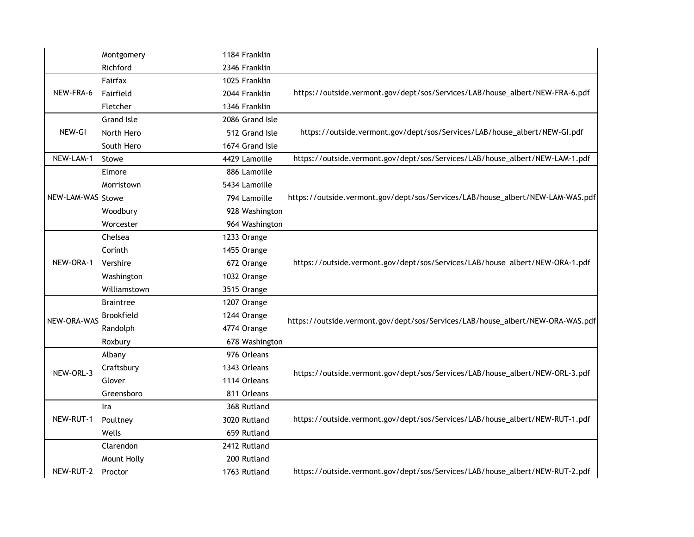|                   | Montgomery        | 1184 Franklin   |                                                                                |
|-------------------|-------------------|-----------------|--------------------------------------------------------------------------------|
|                   | Richford          | 2346 Franklin   |                                                                                |
|                   | Fairfax           | 1025 Franklin   |                                                                                |
| NEW-FRA-6         | Fairfield         | 2044 Franklin   | https://outside.vermont.gov/dept/sos/Services/LAB/house_albert/NEW-FRA-6.pdf   |
|                   | Fletcher          | 1346 Franklin   |                                                                                |
|                   | <b>Grand Isle</b> | 2086 Grand Isle |                                                                                |
| NEW-GI            | North Hero        | 512 Grand Isle  | https://outside.vermont.gov/dept/sos/Services/LAB/house_albert/NEW-GI.pdf      |
|                   | South Hero        | 1674 Grand Isle |                                                                                |
| NEW-LAM-1         | Stowe             | 4429 Lamoille   | https://outside.vermont.gov/dept/sos/Services/LAB/house_albert/NEW-LAM-1.pdf   |
|                   | Elmore            | 886 Lamoille    |                                                                                |
|                   | Morristown        | 5434 Lamoille   |                                                                                |
| NEW-LAM-WAS Stowe |                   | 794 Lamoille    | https://outside.vermont.gov/dept/sos/Services/LAB/house_albert/NEW-LAM-WAS.pdf |
|                   | Woodbury          | 928 Washington  |                                                                                |
|                   | Worcester         | 964 Washington  |                                                                                |
|                   | Chelsea           | 1233 Orange     |                                                                                |
|                   | Corinth           | 1455 Orange     |                                                                                |
| NEW-ORA-1         | Vershire          | 672 Orange      | https://outside.vermont.gov/dept/sos/Services/LAB/house_albert/NEW-ORA-1.pdf   |
|                   | Washington        | 1032 Orange     |                                                                                |
|                   | Williamstown      | 3515 Orange     |                                                                                |
|                   | <b>Braintree</b>  | 1207 Orange     |                                                                                |
| NEW-ORA-WAS       | <b>Brookfield</b> | 1244 Orange     | https://outside.vermont.gov/dept/sos/Services/LAB/house_albert/NEW-ORA-WAS.pdf |
|                   | Randolph          | 4774 Orange     |                                                                                |
|                   | Roxbury           | 678 Washington  |                                                                                |
|                   | Albany            | 976 Orleans     |                                                                                |
| NEW-ORL-3         | Craftsbury        | 1343 Orleans    | https://outside.vermont.gov/dept/sos/Services/LAB/house_albert/NEW-ORL-3.pdf   |
|                   | Glover            | 1114 Orleans    |                                                                                |
|                   | Greensboro        | 811 Orleans     |                                                                                |
|                   | Ira               | 368 Rutland     |                                                                                |
| NEW-RUT-1         | Poultney          | 3020 Rutland    | https://outside.vermont.gov/dept/sos/Services/LAB/house_albert/NEW-RUT-1.pdf   |
|                   | Wells             | 659 Rutland     |                                                                                |
|                   | Clarendon         | 2412 Rutland    |                                                                                |
|                   | Mount Holly       | 200 Rutland     |                                                                                |
| NEW-RUT-2         | Proctor           | 1763 Rutland    | https://outside.vermont.gov/dept/sos/Services/LAB/house_albert/NEW-RUT-2.pdf   |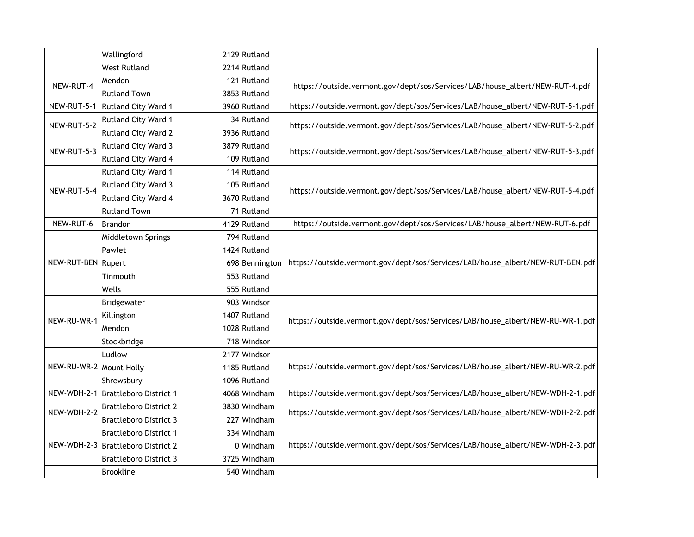|                         | Wallingford                        | 2129 Rutland   |                                                                                |
|-------------------------|------------------------------------|----------------|--------------------------------------------------------------------------------|
|                         | <b>West Rutland</b>                | 2214 Rutland   |                                                                                |
| NEW-RUT-4               | Mendon                             | 121 Rutland    | https://outside.vermont.gov/dept/sos/Services/LAB/house_albert/NEW-RUT-4.pdf   |
|                         | <b>Rutland Town</b>                | 3853 Rutland   |                                                                                |
|                         | NEW-RUT-5-1 Rutland City Ward 1    | 3960 Rutland   | https://outside.vermont.gov/dept/sos/Services/LAB/house_albert/NEW-RUT-5-1.pdf |
| NEW-RUT-5-2             | Rutland City Ward 1                | 34 Rutland     | https://outside.vermont.gov/dept/sos/Services/LAB/house_albert/NEW-RUT-5-2.pdf |
|                         | Rutland City Ward 2                | 3936 Rutland   |                                                                                |
| NEW-RUT-5-3             | Rutland City Ward 3                | 3879 Rutland   | https://outside.vermont.gov/dept/sos/Services/LAB/house_albert/NEW-RUT-5-3.pdf |
|                         | Rutland City Ward 4                | 109 Rutland    |                                                                                |
|                         | Rutland City Ward 1                | 114 Rutland    |                                                                                |
| NEW-RUT-5-4             | Rutland City Ward 3                | 105 Rutland    | https://outside.vermont.gov/dept/sos/Services/LAB/house_albert/NEW-RUT-5-4.pdf |
|                         | Rutland City Ward 4                | 3670 Rutland   |                                                                                |
|                         | <b>Rutland Town</b>                | 71 Rutland     |                                                                                |
| NEW-RUT-6               | Brandon                            | 4129 Rutland   | https://outside.vermont.gov/dept/sos/Services/LAB/house_albert/NEW-RUT-6.pdf   |
|                         | Middletown Springs                 | 794 Rutland    |                                                                                |
|                         | Pawlet                             | 1424 Rutland   |                                                                                |
| NEW-RUT-BEN Rupert      |                                    | 698 Bennington | https://outside.vermont.gov/dept/sos/Services/LAB/house_albert/NEW-RUT-BEN.pdf |
|                         | Tinmouth                           | 553 Rutland    |                                                                                |
|                         | Wells                              | 555 Rutland    |                                                                                |
|                         | Bridgewater                        | 903 Windsor    |                                                                                |
| NEW-RU-WR-1             | Killington                         | 1407 Rutland   | https://outside.vermont.gov/dept/sos/Services/LAB/house_albert/NEW-RU-WR-1.pdf |
|                         | Mendon                             | 1028 Rutland   |                                                                                |
|                         | Stockbridge                        | 718 Windsor    |                                                                                |
|                         | Ludlow                             | 2177 Windsor   |                                                                                |
| NEW-RU-WR-2 Mount Holly |                                    | 1185 Rutland   | https://outside.vermont.gov/dept/sos/Services/LAB/house_albert/NEW-RU-WR-2.pdf |
|                         | Shrewsbury                         | 1096 Rutland   |                                                                                |
|                         | NEW-WDH-2-1 Brattleboro District 1 | 4068 Windham   | https://outside.vermont.gov/dept/sos/Services/LAB/house_albert/NEW-WDH-2-1.pdf |
| NEW-WDH-2-2             | <b>Brattleboro District 2</b>      | 3830 Windham   | https://outside.vermont.gov/dept/sos/Services/LAB/house_albert/NEW-WDH-2-2.pdf |
|                         | <b>Brattleboro District 3</b>      | 227 Windham    |                                                                                |
|                         | <b>Brattleboro District 1</b>      | 334 Windham    |                                                                                |
|                         | NEW-WDH-2-3 Brattleboro District 2 | 0 Windham      | https://outside.vermont.gov/dept/sos/Services/LAB/house_albert/NEW-WDH-2-3.pdf |
|                         | <b>Brattleboro District 3</b>      | 3725 Windham   |                                                                                |
|                         | <b>Brookline</b>                   | 540 Windham    |                                                                                |
|                         |                                    |                |                                                                                |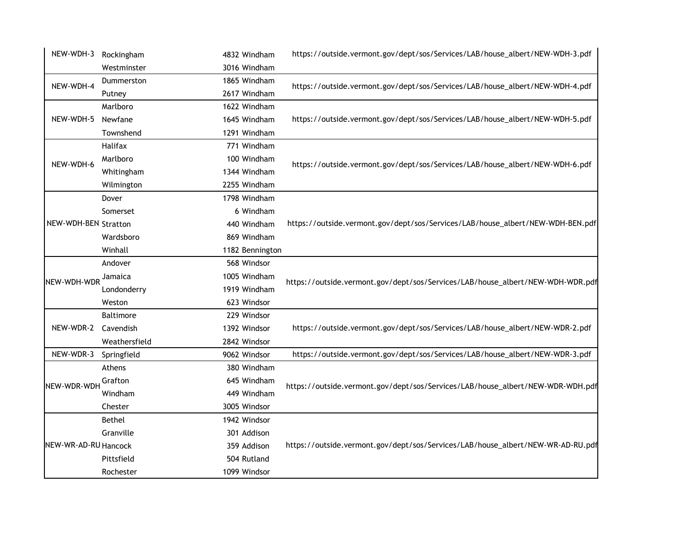| NEW-WDH-3 Rockingham |               | 4832 Windham    | https://outside.vermont.gov/dept/sos/Services/LAB/house_albert/NEW-WDH-3.pdf    |
|----------------------|---------------|-----------------|---------------------------------------------------------------------------------|
|                      | Westminster   | 3016 Windham    |                                                                                 |
| NEW-WDH-4            | Dummerston    | 1865 Windham    | https://outside.vermont.gov/dept/sos/Services/LAB/house_albert/NEW-WDH-4.pdf    |
|                      | Putney        | 2617 Windham    |                                                                                 |
|                      | Marlboro      | 1622 Windham    |                                                                                 |
| NEW-WDH-5            | Newfane       | 1645 Windham    | https://outside.vermont.gov/dept/sos/Services/LAB/house_albert/NEW-WDH-5.pdf    |
|                      | Townshend     | 1291 Windham    |                                                                                 |
|                      | Halifax       | 771 Windham     |                                                                                 |
| NEW-WDH-6            | Marlboro      | 100 Windham     | https://outside.vermont.gov/dept/sos/Services/LAB/house_albert/NEW-WDH-6.pdf    |
|                      | Whitingham    | 1344 Windham    |                                                                                 |
|                      | Wilmington    | 2255 Windham    |                                                                                 |
|                      | Dover         | 1798 Windham    |                                                                                 |
|                      | Somerset      | 6 Windham       |                                                                                 |
| NEW-WDH-BEN Stratton |               | 440 Windham     | https://outside.vermont.gov/dept/sos/Services/LAB/house_albert/NEW-WDH-BEN.pdf  |
|                      | Wardsboro     | 869 Windham     |                                                                                 |
|                      | Winhall       | 1182 Bennington |                                                                                 |
|                      | Andover       | 568 Windsor     |                                                                                 |
| NEW-WDH-WDR          | Jamaica       | 1005 Windham    | https://outside.vermont.gov/dept/sos/Services/LAB/house_albert/NEW-WDH-WDR.pdf  |
|                      | Londonderry   | 1919 Windham    |                                                                                 |
|                      | Weston        | 623 Windsor     |                                                                                 |
|                      | Baltimore     | 229 Windsor     |                                                                                 |
| NEW-WDR-2            | Cavendish     | 1392 Windsor    | https://outside.vermont.gov/dept/sos/Services/LAB/house_albert/NEW-WDR-2.pdf    |
|                      | Weathersfield | 2842 Windsor    |                                                                                 |
| NEW-WDR-3            | Springfield   | 9062 Windsor    | https://outside.vermont.gov/dept/sos/Services/LAB/house_albert/NEW-WDR-3.pdf    |
|                      | Athens        | 380 Windham     |                                                                                 |
| NEW-WDR-WDH          | Grafton       | 645 Windham     | https://outside.vermont.gov/dept/sos/Services/LAB/house_albert/NEW-WDR-WDH.pdf  |
|                      | Windham       | 449 Windham     |                                                                                 |
|                      | Chester       | 3005 Windsor    |                                                                                 |
|                      | Bethel        | 1942 Windsor    |                                                                                 |
|                      | Granville     | 301 Addison     |                                                                                 |
| NEW-WR-AD-RU Hancock |               | 359 Addison     | https://outside.vermont.gov/dept/sos/Services/LAB/house_albert/NEW-WR-AD-RU.pdf |
|                      | Pittsfield    | 504 Rutland     |                                                                                 |
|                      | Rochester     | 1099 Windsor    |                                                                                 |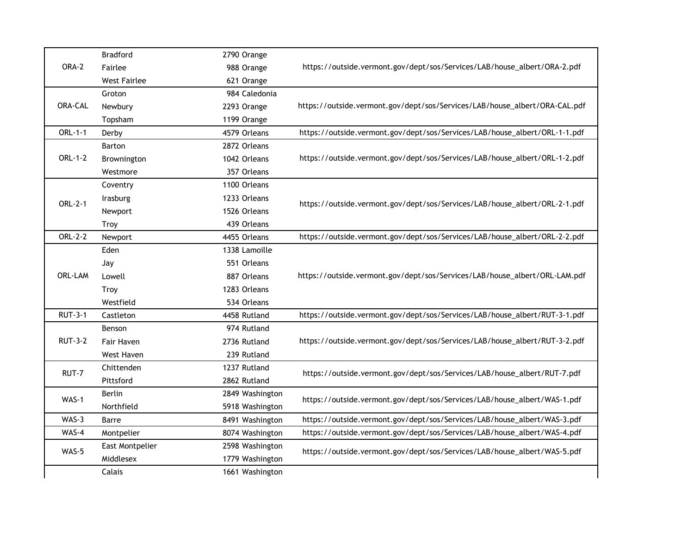|                | <b>Bradford</b>     | 2790 Orange     |                                                                            |
|----------------|---------------------|-----------------|----------------------------------------------------------------------------|
| ORA-2          | Fairlee             | 988 Orange      | https://outside.vermont.gov/dept/sos/Services/LAB/house_albert/ORA-2.pdf   |
|                | <b>West Fairlee</b> | 621 Orange      |                                                                            |
|                | Groton              | 984 Caledonia   |                                                                            |
| <b>ORA-CAL</b> | Newbury             | 2293 Orange     | https://outside.vermont.gov/dept/sos/Services/LAB/house_albert/ORA-CAL.pdf |
|                | Topsham             | 1199 Orange     |                                                                            |
| ORL-1-1        | Derby               | 4579 Orleans    | https://outside.vermont.gov/dept/sos/Services/LAB/house_albert/ORL-1-1.pdf |
|                | <b>Barton</b>       | 2872 Orleans    |                                                                            |
| ORL-1-2        | Brownington         | 1042 Orleans    | https://outside.vermont.gov/dept/sos/Services/LAB/house_albert/ORL-1-2.pdf |
|                | Westmore            | 357 Orleans     |                                                                            |
|                | Coventry            | 1100 Orleans    |                                                                            |
| ORL-2-1        | Irasburg            | 1233 Orleans    | https://outside.vermont.gov/dept/sos/Services/LAB/house_albert/ORL-2-1.pdf |
|                | Newport             | 1526 Orleans    |                                                                            |
|                | <b>Troy</b>         | 439 Orleans     |                                                                            |
| ORL-2-2        | Newport             | 4455 Orleans    | https://outside.vermont.gov/dept/sos/Services/LAB/house_albert/ORL-2-2.pdf |
|                | Eden                | 1338 Lamoille   |                                                                            |
|                | Jay                 | 551 Orleans     |                                                                            |
| ORL-LAM        | Lowell              | 887 Orleans     | https://outside.vermont.gov/dept/sos/Services/LAB/house_albert/ORL-LAM.pdf |
|                | <b>Troy</b>         | 1283 Orleans    |                                                                            |
|                | Westfield           | 534 Orleans     |                                                                            |
| <b>RUT-3-1</b> | Castleton           | 4458 Rutland    | https://outside.vermont.gov/dept/sos/Services/LAB/house_albert/RUT-3-1.pdf |
|                | Benson              | 974 Rutland     |                                                                            |
| <b>RUT-3-2</b> | Fair Haven          | 2736 Rutland    | https://outside.vermont.gov/dept/sos/Services/LAB/house_albert/RUT-3-2.pdf |
|                | West Haven          | 239 Rutland     |                                                                            |
| RUT-7          | Chittenden          | 1237 Rutland    | https://outside.vermont.gov/dept/sos/Services/LAB/house_albert/RUT-7.pdf   |
|                | Pittsford           | 2862 Rutland    |                                                                            |
| WAS-1          | <b>Berlin</b>       | 2849 Washington |                                                                            |
|                | Northfield          | 5918 Washington | https://outside.vermont.gov/dept/sos/Services/LAB/house_albert/WAS-1.pdf   |
| WAS-3          | Barre               | 8491 Washington | https://outside.vermont.gov/dept/sos/Services/LAB/house_albert/WAS-3.pdf   |
| WAS-4          | Montpelier          | 8074 Washington | https://outside.vermont.gov/dept/sos/Services/LAB/house_albert/WAS-4.pdf   |
| WAS-5          | East Montpelier     | 2598 Washington | https://outside.vermont.gov/dept/sos/Services/LAB/house_albert/WAS-5.pdf   |
|                | Middlesex           | 1779 Washington |                                                                            |
|                | Calais              | 1661 Washington |                                                                            |
|                |                     |                 |                                                                            |